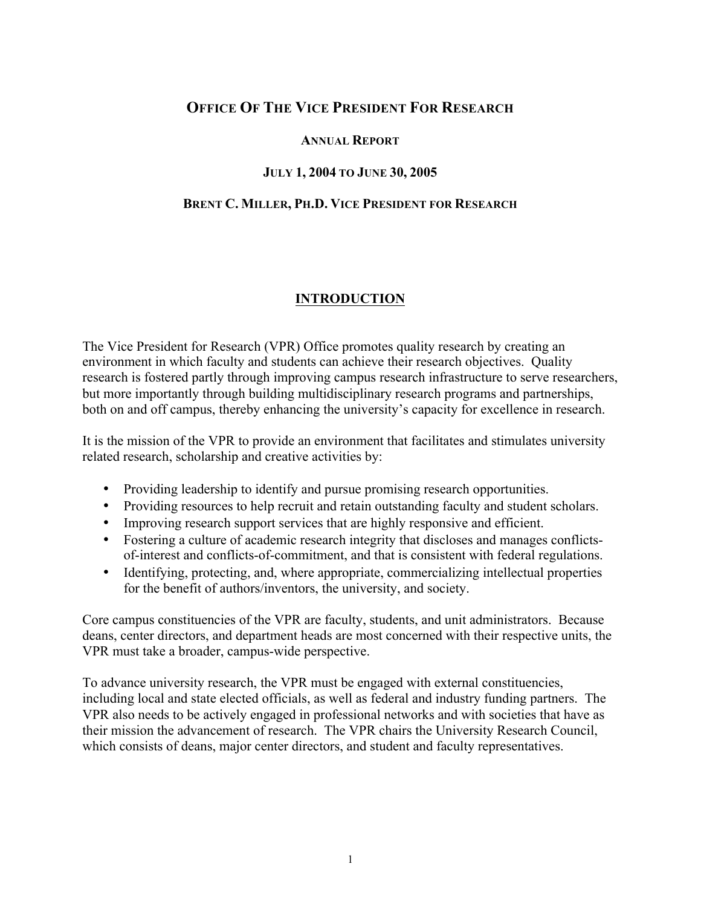# **OFFICE OF THE VICE PRESIDENT FOR RESEARCH**

#### **ANNUAL REPORT**

#### **JULY 1, 2004 TO JUNE 30, 2005**

#### **BRENT C. MILLER, PH.D. VICE PRESIDENT FOR RESEARCH**

### **INTRODUCTION**

The Vice President for Research (VPR) Office promotes quality research by creating an environment in which faculty and students can achieve their research objectives. Quality research is fostered partly through improving campus research infrastructure to serve researchers, but more importantly through building multidisciplinary research programs and partnerships, both on and off campus, thereby enhancing the university's capacity for excellence in research.

It is the mission of the VPR to provide an environment that facilitates and stimulates university related research, scholarship and creative activities by:

- Providing leadership to identify and pursue promising research opportunities.
- Providing resources to help recruit and retain outstanding faculty and student scholars.
- Improving research support services that are highly responsive and efficient.
- Fostering a culture of academic research integrity that discloses and manages conflictsof-interest and conflicts-of-commitment, and that is consistent with federal regulations.
- Identifying, protecting, and, where appropriate, commercializing intellectual properties for the benefit of authors/inventors, the university, and society.

Core campus constituencies of the VPR are faculty, students, and unit administrators. Because deans, center directors, and department heads are most concerned with their respective units, the VPR must take a broader, campus-wide perspective.

To advance university research, the VPR must be engaged with external constituencies, including local and state elected officials, as well as federal and industry funding partners. The VPR also needs to be actively engaged in professional networks and with societies that have as their mission the advancement of research. The VPR chairs the University Research Council, which consists of deans, major center directors, and student and faculty representatives.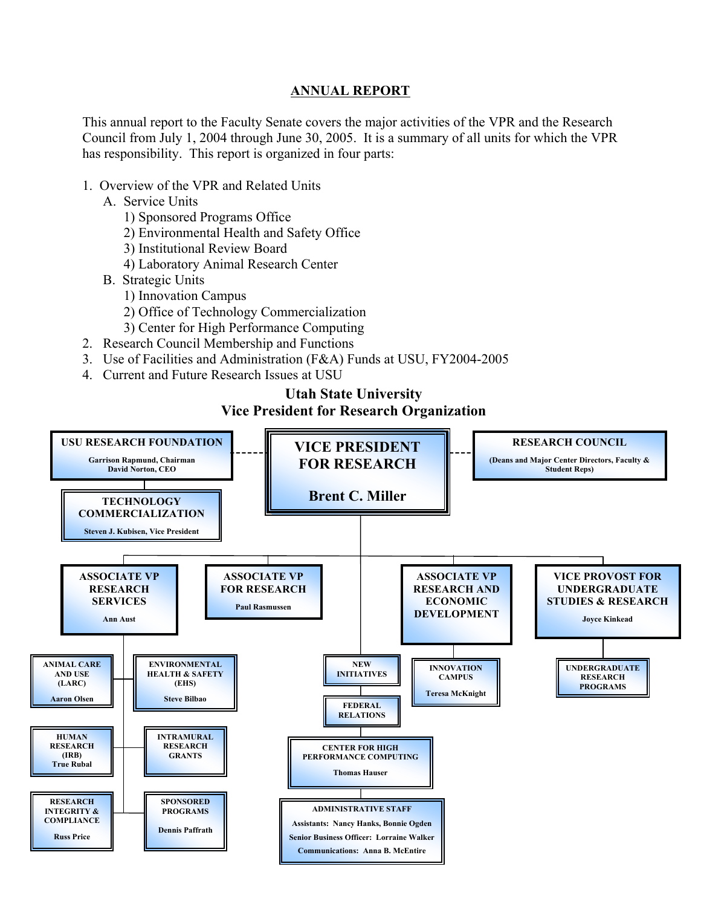#### **ANNUAL REPORT**

This annual report to the Faculty Senate covers the major activities of the VPR and the Research Council from July 1, 2004 through June 30, 2005. It is a summary of all units for which the VPR has responsibility. This report is organized in four parts:

- 1. Overview of the VPR and Related Units
	- A. Service Units
		- 1) Sponsored Programs Office
		- 2) Environmental Health and Safety Office
		- 3) Institutional Review Board
		- 4) Laboratory Animal Research Center
	- B. Strategic Units
		- 1) Innovation Campus
		- 2) Office of Technology Commercialization
		- 3) Center for High Performance Computing
- 2. Research Council Membership and Functions
- 3. Use of Facilities and Administration (F&A) Funds at USU, FY2004-2005
- 4. Current and Future Research Issues at USU

## **Utah State University Vice President for Research Organization**

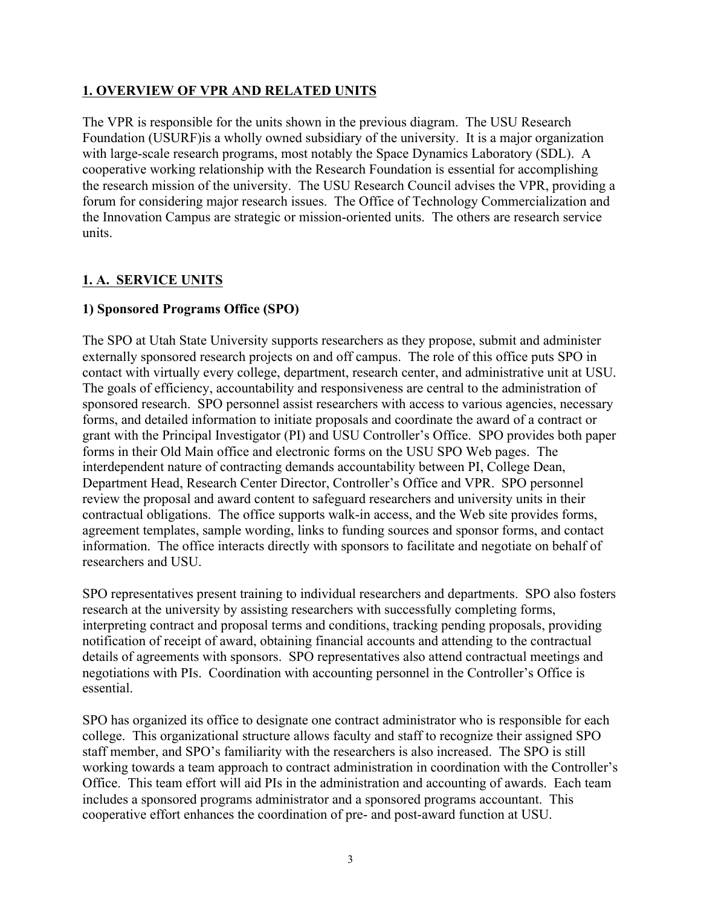### **1. OVERVIEW OF VPR AND RELATED UNITS**

The VPR is responsible for the units shown in the previous diagram. The USU Research Foundation (USURF)is a wholly owned subsidiary of the university. It is a major organization with large-scale research programs, most notably the Space Dynamics Laboratory (SDL). A cooperative working relationship with the Research Foundation is essential for accomplishing the research mission of the university. The USU Research Council advises the VPR, providing a forum for considering major research issues. The Office of Technology Commercialization and the Innovation Campus are strategic or mission-oriented units. The others are research service units.

### **1. A. SERVICE UNITS**

### **1) Sponsored Programs Office (SPO)**

The SPO at Utah State University supports researchers as they propose, submit and administer externally sponsored research projects on and off campus. The role of this office puts SPO in contact with virtually every college, department, research center, and administrative unit at USU. The goals of efficiency, accountability and responsiveness are central to the administration of sponsored research. SPO personnel assist researchers with access to various agencies, necessary forms, and detailed information to initiate proposals and coordinate the award of a contract or grant with the Principal Investigator (PI) and USU Controller's Office. SPO provides both paper forms in their Old Main office and electronic forms on the USU SPO Web pages. The interdependent nature of contracting demands accountability between PI, College Dean, Department Head, Research Center Director, Controller's Office and VPR. SPO personnel review the proposal and award content to safeguard researchers and university units in their contractual obligations. The office supports walk-in access, and the Web site provides forms, agreement templates, sample wording, links to funding sources and sponsor forms, and contact information. The office interacts directly with sponsors to facilitate and negotiate on behalf of researchers and USU.

SPO representatives present training to individual researchers and departments. SPO also fosters research at the university by assisting researchers with successfully completing forms, interpreting contract and proposal terms and conditions, tracking pending proposals, providing notification of receipt of award, obtaining financial accounts and attending to the contractual details of agreements with sponsors. SPO representatives also attend contractual meetings and negotiations with PIs. Coordination with accounting personnel in the Controller's Office is essential.

SPO has organized its office to designate one contract administrator who is responsible for each college. This organizational structure allows faculty and staff to recognize their assigned SPO staff member, and SPO's familiarity with the researchers is also increased. The SPO is still working towards a team approach to contract administration in coordination with the Controller's Office. This team effort will aid PIs in the administration and accounting of awards. Each team includes a sponsored programs administrator and a sponsored programs accountant. This cooperative effort enhances the coordination of pre- and post-award function at USU.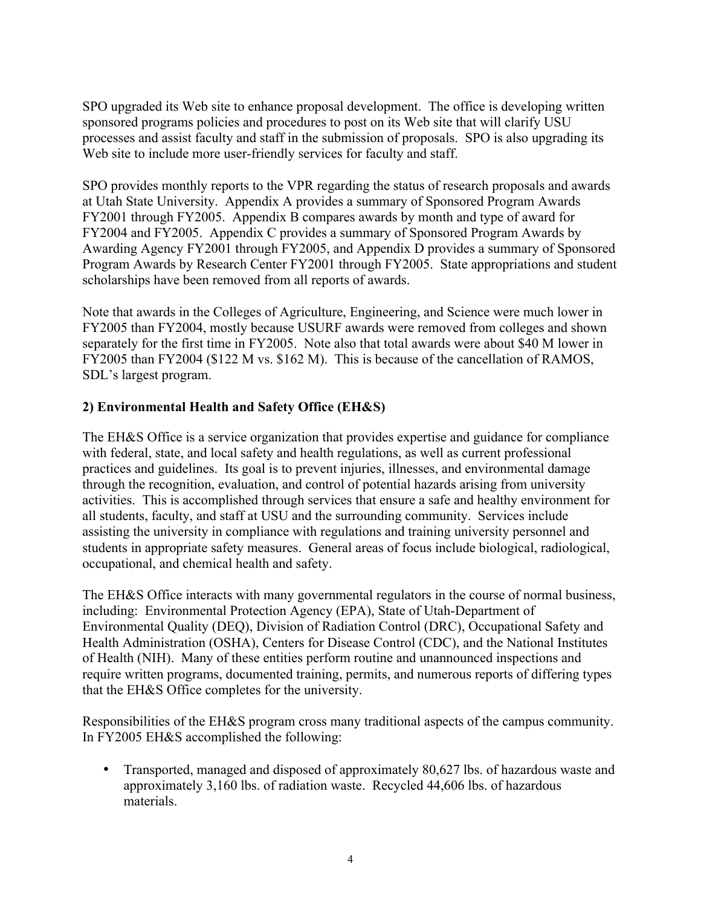SPO upgraded its Web site to enhance proposal development. The office is developing written sponsored programs policies and procedures to post on its Web site that will clarify USU processes and assist faculty and staff in the submission of proposals. SPO is also upgrading its Web site to include more user-friendly services for faculty and staff.

SPO provides monthly reports to the VPR regarding the status of research proposals and awards at Utah State University. Appendix A provides a summary of Sponsored Program Awards FY2001 through FY2005. Appendix B compares awards by month and type of award for FY2004 and FY2005. Appendix C provides a summary of Sponsored Program Awards by Awarding Agency FY2001 through FY2005, and Appendix D provides a summary of Sponsored Program Awards by Research Center FY2001 through FY2005. State appropriations and student scholarships have been removed from all reports of awards.

Note that awards in the Colleges of Agriculture, Engineering, and Science were much lower in FY2005 than FY2004, mostly because USURF awards were removed from colleges and shown separately for the first time in FY2005. Note also that total awards were about \$40 M lower in FY2005 than FY2004 (\$122 M vs. \$162 M). This is because of the cancellation of RAMOS, SDL's largest program.

### **2) Environmental Health and Safety Office (EH&S)**

The EH&S Office is a service organization that provides expertise and guidance for compliance with federal, state, and local safety and health regulations, as well as current professional practices and guidelines. Its goal is to prevent injuries, illnesses, and environmental damage through the recognition, evaluation, and control of potential hazards arising from university activities. This is accomplished through services that ensure a safe and healthy environment for all students, faculty, and staff at USU and the surrounding community. Services include assisting the university in compliance with regulations and training university personnel and students in appropriate safety measures. General areas of focus include biological, radiological, occupational, and chemical health and safety.

The EH&S Office interacts with many governmental regulators in the course of normal business, including: Environmental Protection Agency (EPA), State of Utah-Department of Environmental Quality (DEQ), Division of Radiation Control (DRC), Occupational Safety and Health Administration (OSHA), Centers for Disease Control (CDC), and the National Institutes of Health (NIH). Many of these entities perform routine and unannounced inspections and require written programs, documented training, permits, and numerous reports of differing types that the EH&S Office completes for the university.

Responsibilities of the EH&S program cross many traditional aspects of the campus community. In FY2005 EH&S accomplished the following:

• Transported, managed and disposed of approximately 80,627 lbs. of hazardous waste and approximately 3,160 lbs. of radiation waste. Recycled 44,606 lbs. of hazardous materials.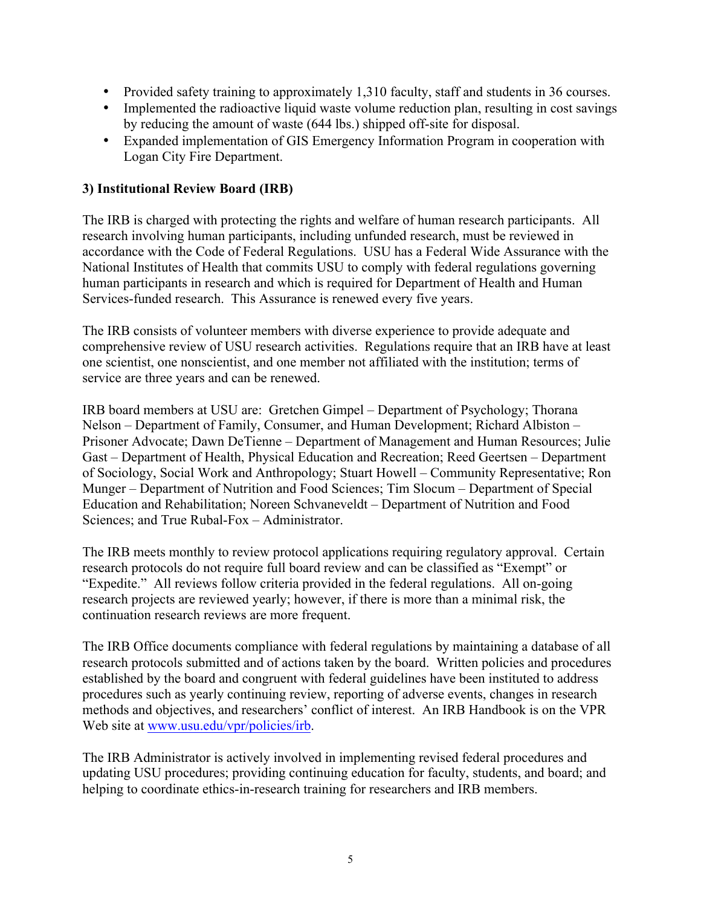- Provided safety training to approximately 1,310 faculty, staff and students in 36 courses.
- Implemented the radioactive liquid waste volume reduction plan, resulting in cost savings by reducing the amount of waste (644 lbs.) shipped off-site for disposal.
- Expanded implementation of GIS Emergency Information Program in cooperation with Logan City Fire Department.

### **3) Institutional Review Board (IRB)**

The IRB is charged with protecting the rights and welfare of human research participants.All research involving human participants, including unfunded research, must be reviewed in accordance with the Code of Federal Regulations. USU has a Federal Wide Assurance with the National Institutes of Health that commits USU to comply with federal regulations governing human participants in research and which is required for Department of Health and Human Services-funded research. This Assurance is renewed every five years.

The IRB consists of volunteer members with diverse experience to provide adequate and comprehensive review of USU research activities. Regulations require that an IRB have at least one scientist, one nonscientist, and one member not affiliated with the institution; terms of service are three years and can be renewed.

IRB board members at USU are: Gretchen Gimpel – Department of Psychology; Thorana Nelson – Department of Family, Consumer, and Human Development; Richard Albiston – Prisoner Advocate; Dawn DeTienne – Department of Management and Human Resources; Julie Gast – Department of Health, Physical Education and Recreation; Reed Geertsen – Department of Sociology, Social Work and Anthropology; Stuart Howell – Community Representative; Ron Munger – Department of Nutrition and Food Sciences; Tim Slocum – Department of Special Education and Rehabilitation; Noreen Schvaneveldt – Department of Nutrition and Food Sciences; and True Rubal-Fox – Administrator.

The IRB meets monthly to review protocol applications requiring regulatory approval. Certain research protocols do not require full board review and can be classified as "Exempt" or "Expedite." All reviews follow criteria provided in the federal regulations. All on-going research projects are reviewed yearly; however, if there is more than a minimal risk, the continuation research reviews are more frequent.

The IRB Office documents compliance with federal regulations by maintaining a database of all research protocols submitted and of actions taken by the board. Written policies and procedures established by the board and congruent with federal guidelines have been instituted to address procedures such as yearly continuing review, reporting of adverse events, changes in research methods and objectives, and researchers' conflict of interest. An IRB Handbook is on the VPR Web site at www.usu.edu/vpr/policies/irb.

The IRB Administrator is actively involved in implementing revised federal procedures and updating USU procedures; providing continuing education for faculty, students, and board; and helping to coordinate ethics-in-research training for researchers and IRB members.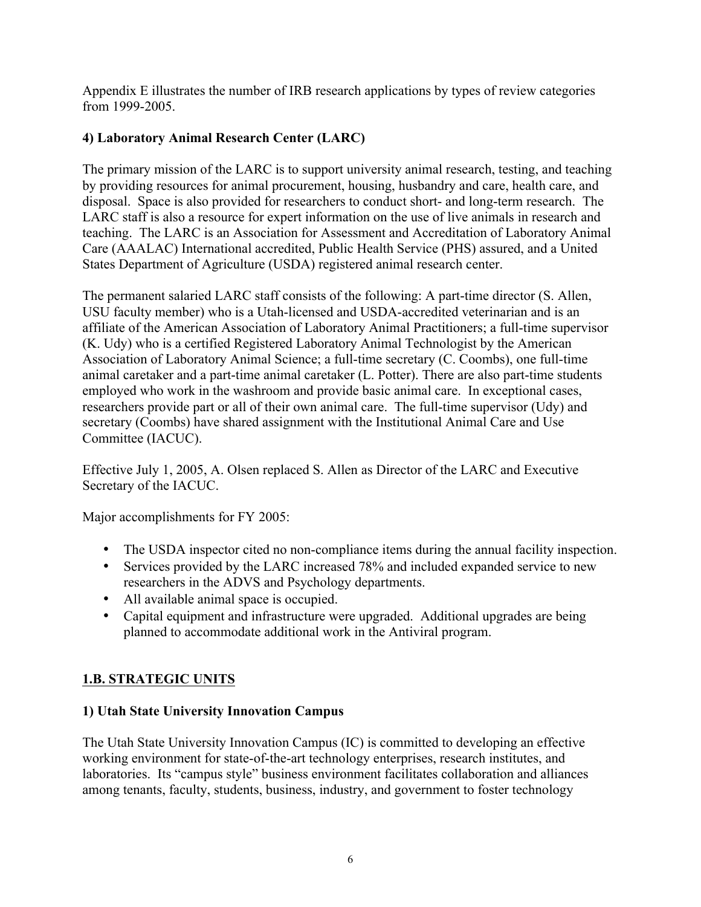Appendix E illustrates the number of IRB research applications by types of review categories from 1999-2005.

# **4) Laboratory Animal Research Center (LARC)**

The primary mission of the LARC is to support university animal research, testing, and teaching by providing resources for animal procurement, housing, husbandry and care, health care, and disposal. Space is also provided for researchers to conduct short- and long-term research. The LARC staff is also a resource for expert information on the use of live animals in research and teaching. The LARC is an Association for Assessment and Accreditation of Laboratory Animal Care (AAALAC) International accredited, Public Health Service (PHS) assured, and a United States Department of Agriculture (USDA) registered animal research center.

The permanent salaried LARC staff consists of the following: A part-time director (S. Allen, USU faculty member) who is a Utah-licensed and USDA-accredited veterinarian and is an affiliate of the American Association of Laboratory Animal Practitioners; a full-time supervisor (K. Udy) who is a certified Registered Laboratory Animal Technologist by the American Association of Laboratory Animal Science; a full-time secretary (C. Coombs), one full-time animal caretaker and a part-time animal caretaker (L. Potter). There are also part-time students employed who work in the washroom and provide basic animal care. In exceptional cases, researchers provide part or all of their own animal care. The full-time supervisor (Udy) and secretary (Coombs) have shared assignment with the Institutional Animal Care and Use Committee (IACUC).

Effective July 1, 2005, A. Olsen replaced S. Allen as Director of the LARC and Executive Secretary of the IACUC.

Major accomplishments for FY 2005:

- The USDA inspector cited no non-compliance items during the annual facility inspection.
- Services provided by the LARC increased 78% and included expanded service to new researchers in the ADVS and Psychology departments.
- All available animal space is occupied.
- Capital equipment and infrastructure were upgraded. Additional upgrades are being planned to accommodate additional work in the Antiviral program.

# **1.B. STRATEGIC UNITS**

# **1) Utah State University Innovation Campus**

The Utah State University Innovation Campus (IC) is committed to developing an effective working environment for state-of-the-art technology enterprises, research institutes, and laboratories. Its "campus style" business environment facilitates collaboration and alliances among tenants, faculty, students, business, industry, and government to foster technology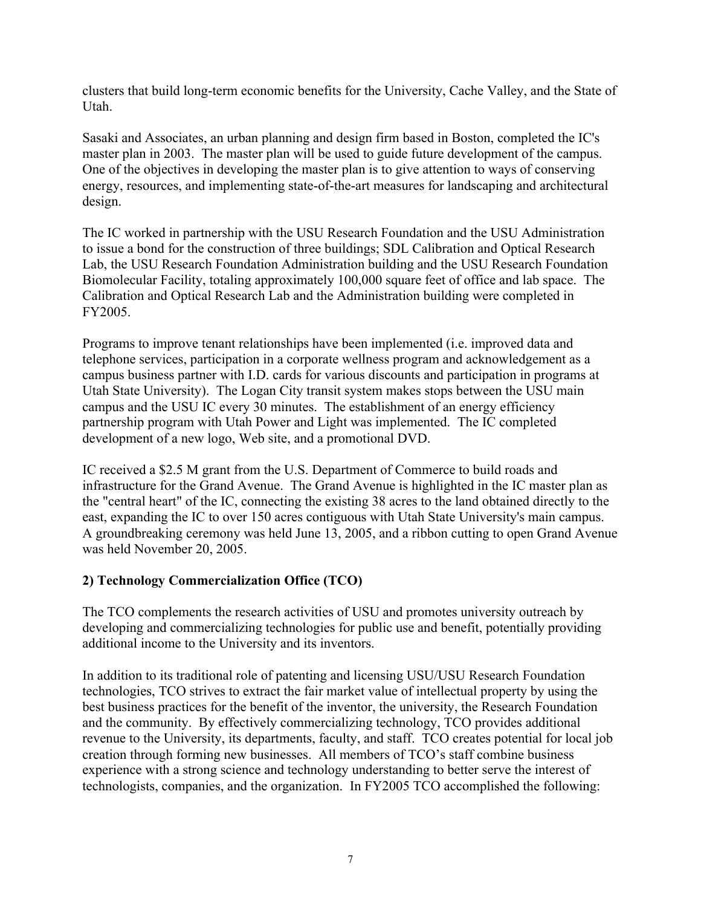clusters that build long-term economic benefits for the University, Cache Valley, and the State of Utah.

Sasaki and Associates, an urban planning and design firm based in Boston, completed the IC's master plan in 2003. The master plan will be used to guide future development of the campus. One of the objectives in developing the master plan is to give attention to ways of conserving energy, resources, and implementing state-of-the-art measures for landscaping and architectural design.

The IC worked in partnership with the USU Research Foundation and the USU Administration to issue a bond for the construction of three buildings; SDL Calibration and Optical Research Lab, the USU Research Foundation Administration building and the USU Research Foundation Biomolecular Facility, totaling approximately 100,000 square feet of office and lab space. The Calibration and Optical Research Lab and the Administration building were completed in FY2005.

Programs to improve tenant relationships have been implemented (i.e. improved data and telephone services, participation in a corporate wellness program and acknowledgement as a campus business partner with I.D. cards for various discounts and participation in programs at Utah State University). The Logan City transit system makes stops between the USU main campus and the USU IC every 30 minutes. The establishment of an energy efficiency partnership program with Utah Power and Light was implemented. The IC completed development of a new logo, Web site, and a promotional DVD.

IC received a \$2.5 M grant from the U.S. Department of Commerce to build roads and infrastructure for the Grand Avenue. The Grand Avenue is highlighted in the IC master plan as the "central heart" of the IC, connecting the existing 38 acres to the land obtained directly to the east, expanding the IC to over 150 acres contiguous with Utah State University's main campus. A groundbreaking ceremony was held June 13, 2005, and a ribbon cutting to open Grand Avenue was held November 20, 2005.

### **2) Technology Commercialization Office (TCO)**

The TCO complements the research activities of USU and promotes university outreach by developing and commercializing technologies for public use and benefit, potentially providing additional income to the University and its inventors.

In addition to its traditional role of patenting and licensing USU/USU Research Foundation technologies, TCO strives to extract the fair market value of intellectual property by using the best business practices for the benefit of the inventor, the university, the Research Foundation and the community. By effectively commercializing technology, TCO provides additional revenue to the University, its departments, faculty, and staff. TCO creates potential for local job creation through forming new businesses. All members of TCO's staff combine business experience with a strong science and technology understanding to better serve the interest of technologists, companies, and the organization. In FY2005 TCO accomplished the following: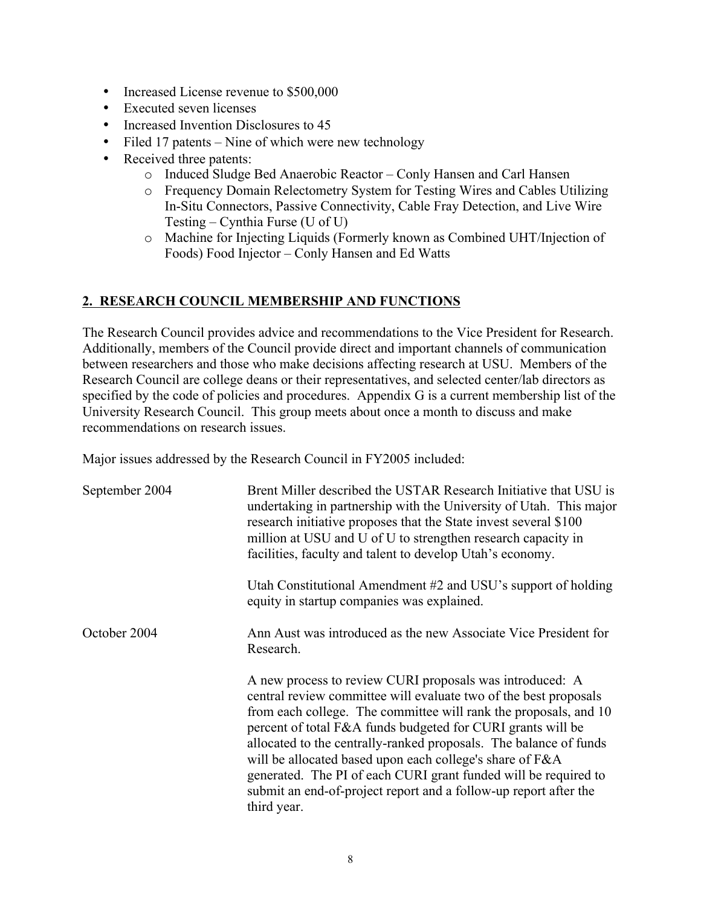- Increased License revenue to \$500,000
- Executed seven licenses
- Increased Invention Disclosures to 45
- Filed 17 patents Nine of which were new technology
- Received three patents:
	- o Induced Sludge Bed Anaerobic Reactor Conly Hansen and Carl Hansen
	- o Frequency Domain Relectometry System for Testing Wires and Cables Utilizing In-Situ Connectors, Passive Connectivity, Cable Fray Detection, and Live Wire Testing – Cynthia Furse (U of U)
	- o Machine for Injecting Liquids (Formerly known as Combined UHT/Injection of Foods) Food Injector – Conly Hansen and Ed Watts

### **2. RESEARCH COUNCIL MEMBERSHIP AND FUNCTIONS**

The Research Council provides advice and recommendations to the Vice President for Research. Additionally, members of the Council provide direct and important channels of communication between researchers and those who make decisions affecting research at USU. Members of the Research Council are college deans or their representatives, and selected center/lab directors as specified by the code of policies and procedures. Appendix G is a current membership list of the University Research Council. This group meets about once a month to discuss and make recommendations on research issues.

Major issues addressed by the Research Council in FY2005 included:

| September 2004 | Brent Miller described the USTAR Research Initiative that USU is<br>undertaking in partnership with the University of Utah. This major<br>research initiative proposes that the State invest several \$100<br>million at USU and U of U to strengthen research capacity in<br>facilities, faculty and talent to develop Utah's economy.<br>Utah Constitutional Amendment #2 and USU's support of holding<br>equity in startup companies was explained.                                                                                                 |  |  |
|----------------|--------------------------------------------------------------------------------------------------------------------------------------------------------------------------------------------------------------------------------------------------------------------------------------------------------------------------------------------------------------------------------------------------------------------------------------------------------------------------------------------------------------------------------------------------------|--|--|
| October 2004   | Ann Aust was introduced as the new Associate Vice President for<br>Research.                                                                                                                                                                                                                                                                                                                                                                                                                                                                           |  |  |
|                | A new process to review CURI proposals was introduced: A<br>central review committee will evaluate two of the best proposals<br>from each college. The committee will rank the proposals, and 10<br>percent of total F&A funds budgeted for CURI grants will be<br>allocated to the centrally-ranked proposals. The balance of funds<br>will be allocated based upon each college's share of F&A<br>generated. The PI of each CURI grant funded will be required to<br>submit an end-of-project report and a follow-up report after the<br>third year. |  |  |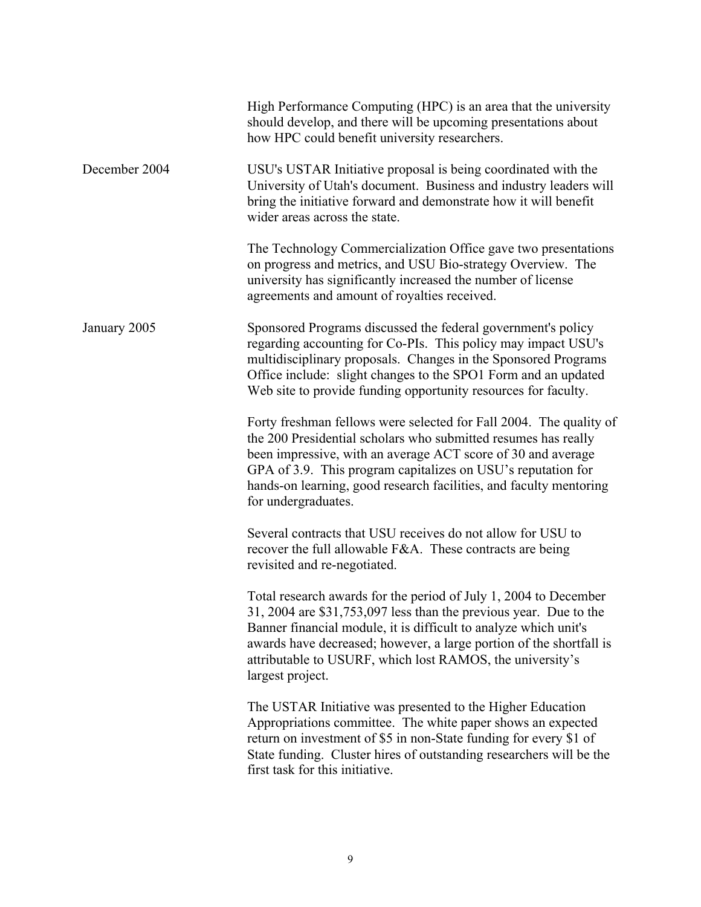|               | High Performance Computing (HPC) is an area that the university<br>should develop, and there will be upcoming presentations about<br>how HPC could benefit university researchers.                                                                                                                                                                                |  |  |
|---------------|-------------------------------------------------------------------------------------------------------------------------------------------------------------------------------------------------------------------------------------------------------------------------------------------------------------------------------------------------------------------|--|--|
| December 2004 | USU's USTAR Initiative proposal is being coordinated with the<br>University of Utah's document. Business and industry leaders will<br>bring the initiative forward and demonstrate how it will benefit<br>wider areas across the state.                                                                                                                           |  |  |
|               | The Technology Commercialization Office gave two presentations<br>on progress and metrics, and USU Bio-strategy Overview. The<br>university has significantly increased the number of license<br>agreements and amount of royalties received.                                                                                                                     |  |  |
| January 2005  | Sponsored Programs discussed the federal government's policy<br>regarding accounting for Co-PIs. This policy may impact USU's<br>multidisciplinary proposals. Changes in the Sponsored Programs<br>Office include: slight changes to the SPO1 Form and an updated<br>Web site to provide funding opportunity resources for faculty.                               |  |  |
|               | Forty freshman fellows were selected for Fall 2004. The quality of<br>the 200 Presidential scholars who submitted resumes has really<br>been impressive, with an average ACT score of 30 and average<br>GPA of 3.9. This program capitalizes on USU's reputation for<br>hands-on learning, good research facilities, and faculty mentoring<br>for undergraduates. |  |  |
|               | Several contracts that USU receives do not allow for USU to<br>recover the full allowable $F\&A$ . These contracts are being<br>revisited and re-negotiated.                                                                                                                                                                                                      |  |  |
|               | Total research awards for the period of July 1, 2004 to December<br>31, 2004 are \$31,753,097 less than the previous year. Due to the<br>Banner financial module, it is difficult to analyze which unit's<br>awards have decreased; however, a large portion of the shortfall is<br>attributable to USURF, which lost RAMOS, the university's<br>largest project. |  |  |
|               | The USTAR Initiative was presented to the Higher Education<br>Appropriations committee. The white paper shows an expected<br>return on investment of \$5 in non-State funding for every \$1 of<br>State funding. Cluster hires of outstanding researchers will be the<br>first task for this initiative.                                                          |  |  |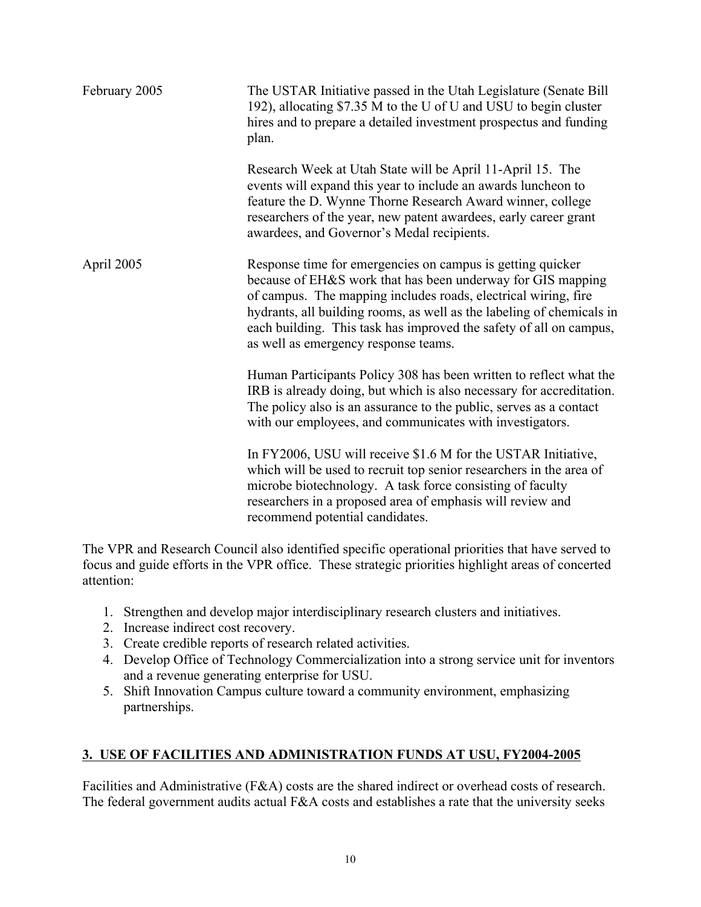| February 2005 | The USTAR Initiative passed in the Utah Legislature (Senate Bill)<br>192), allocating \$7.35 M to the U of U and USU to begin cluster<br>hires and to prepare a detailed investment prospectus and funding<br>plan.                                                                                                                                                                |  |  |
|---------------|------------------------------------------------------------------------------------------------------------------------------------------------------------------------------------------------------------------------------------------------------------------------------------------------------------------------------------------------------------------------------------|--|--|
|               | Research Week at Utah State will be April 11-April 15. The<br>events will expand this year to include an awards luncheon to<br>feature the D. Wynne Thorne Research Award winner, college<br>researchers of the year, new patent awardees, early career grant<br>awardees, and Governor's Medal recipients.                                                                        |  |  |
| April 2005    | Response time for emergencies on campus is getting quicker<br>because of EH&S work that has been underway for GIS mapping<br>of campus. The mapping includes roads, electrical wiring, fire<br>hydrants, all building rooms, as well as the labeling of chemicals in<br>each building. This task has improved the safety of all on campus,<br>as well as emergency response teams. |  |  |
|               | Human Participants Policy 308 has been written to reflect what the<br>IRB is already doing, but which is also necessary for accreditation.<br>The policy also is an assurance to the public, serves as a contact<br>with our employees, and communicates with investigators.                                                                                                       |  |  |
|               | In FY2006, USU will receive \$1.6 M for the USTAR Initiative,<br>which will be used to recruit top senior researchers in the area of<br>microbe biotechnology. A task force consisting of faculty<br>researchers in a proposed area of emphasis will review and<br>recommend potential candidates.                                                                                 |  |  |

The VPR and Research Council also identified specific operational priorities that have served to focus and guide efforts in the VPR office. These strategic priorities highlight areas of concerted attention:

- 1. Strengthen and develop major interdisciplinary research clusters and initiatives.
- 2. Increase indirect cost recovery.
- 3. Create credible reports of research related activities.
- 4. Develop Office of Technology Commercialization into a strong service unit for inventors and a revenue generating enterprise for USU.
- 5. Shift Innovation Campus culture toward a community environment, emphasizing partnerships.

### **3. USE OF FACILITIES AND ADMINISTRATION FUNDS AT USU, FY2004-2005**

Facilities and Administrative (F&A) costs are the shared indirect or overhead costs of research. The federal government audits actual F&A costs and establishes a rate that the university seeks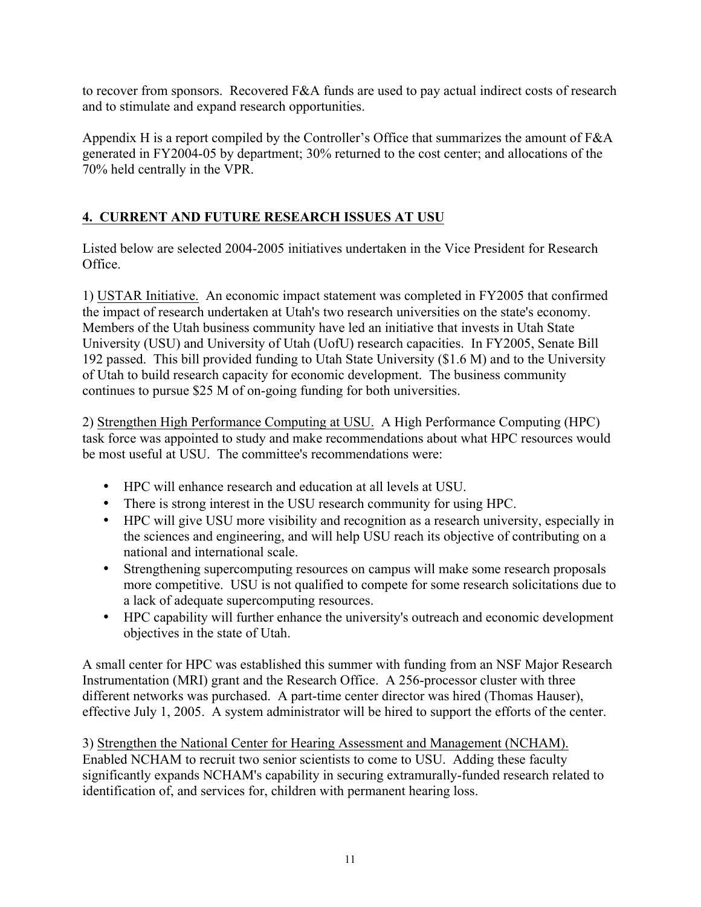to recover from sponsors. Recovered F&A funds are used to pay actual indirect costs of research and to stimulate and expand research opportunities.

Appendix H is a report compiled by the Controller's Office that summarizes the amount of F&A generated in FY2004-05 by department; 30% returned to the cost center; and allocations of the 70% held centrally in the VPR.

# **4. CURRENT AND FUTURE RESEARCH ISSUES AT USU**

Listed below are selected 2004-2005 initiatives undertaken in the Vice President for Research Office.

1) USTAR Initiative. An economic impact statement was completed in FY2005 that confirmed the impact of research undertaken at Utah's two research universities on the state's economy. Members of the Utah business community have led an initiative that invests in Utah State University (USU) and University of Utah (UofU) research capacities. In FY2005, Senate Bill 192 passed. This bill provided funding to Utah State University (\$1.6 M) and to the University of Utah to build research capacity for economic development. The business community continues to pursue \$25 M of on-going funding for both universities.

2) Strengthen High Performance Computing at USU. A High Performance Computing (HPC) task force was appointed to study and make recommendations about what HPC resources would be most useful at USU. The committee's recommendations were:

- HPC will enhance research and education at all levels at USU.
- There is strong interest in the USU research community for using HPC.
- HPC will give USU more visibility and recognition as a research university, especially in the sciences and engineering, and will help USU reach its objective of contributing on a national and international scale.
- Strengthening supercomputing resources on campus will make some research proposals more competitive. USU is not qualified to compete for some research solicitations due to a lack of adequate supercomputing resources.
- HPC capability will further enhance the university's outreach and economic development objectives in the state of Utah.

A small center for HPC was established this summer with funding from an NSF Major Research Instrumentation (MRI) grant and the Research Office. A 256-processor cluster with three different networks was purchased. A part-time center director was hired (Thomas Hauser), effective July 1, 2005. A system administrator will be hired to support the efforts of the center.

3) Strengthen the National Center for Hearing Assessment and Management (NCHAM). Enabled NCHAM to recruit two senior scientists to come to USU. Adding these faculty significantly expands NCHAM's capability in securing extramurally-funded research related to identification of, and services for, children with permanent hearing loss.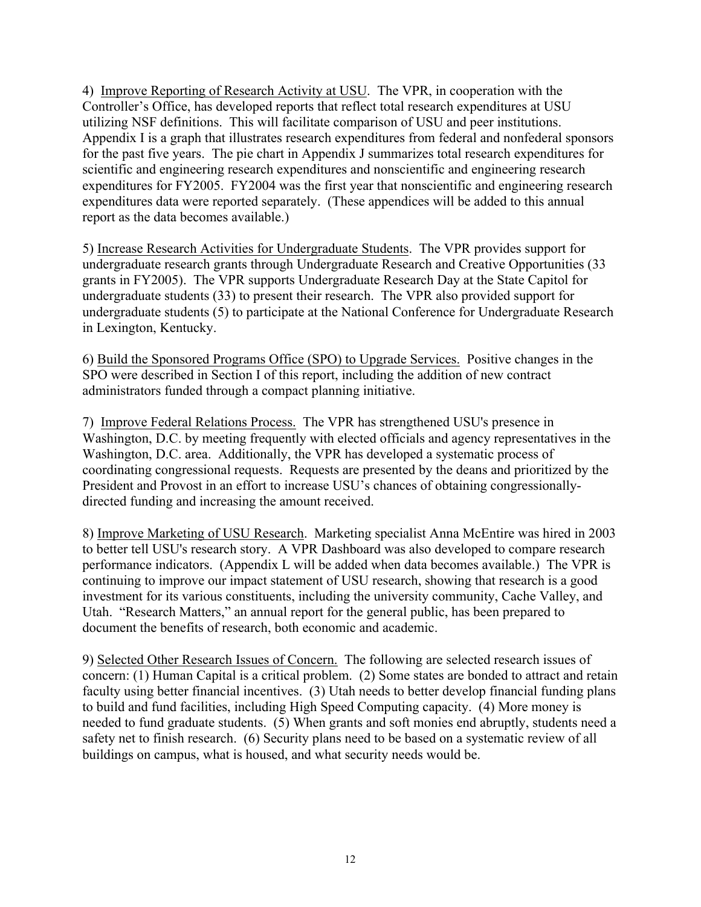4) Improve Reporting of Research Activity at USU. The VPR, in cooperation with the Controller's Office, has developed reports that reflect total research expenditures at USU utilizing NSF definitions. This will facilitate comparison of USU and peer institutions. Appendix I is a graph that illustrates research expenditures from federal and nonfederal sponsors for the past five years. The pie chart in Appendix J summarizes total research expenditures for scientific and engineering research expenditures and nonscientific and engineering research expenditures for FY2005. FY2004 was the first year that nonscientific and engineering research expenditures data were reported separately. (These appendices will be added to this annual report as the data becomes available.)

5) Increase Research Activities for Undergraduate Students. The VPR provides support for undergraduate research grants through Undergraduate Research and Creative Opportunities (33 grants in FY2005). The VPR supports Undergraduate Research Day at the State Capitol for undergraduate students (33) to present their research. The VPR also provided support for undergraduate students (5) to participate at the National Conference for Undergraduate Research in Lexington, Kentucky.

6) Build the Sponsored Programs Office (SPO) to Upgrade Services. Positive changes in the SPO were described in Section I of this report, including the addition of new contract administrators funded through a compact planning initiative.

7)Improve Federal Relations Process. The VPR has strengthened USU's presence in Washington, D.C. by meeting frequently with elected officials and agency representatives in the Washington, D.C. area. Additionally, the VPR has developed a systematic process of coordinating congressional requests. Requests are presented by the deans and prioritized by the President and Provost in an effort to increase USU's chances of obtaining congressionallydirected funding and increasing the amount received.

8) Improve Marketing of USU Research. Marketing specialist Anna McEntire was hired in 2003 to better tell USU's research story. A VPR Dashboard was also developed to compare research performance indicators. (Appendix L will be added when data becomes available.) The VPR is continuing to improve our impact statement of USU research, showing that research is a good investment for its various constituents, including the university community, Cache Valley, and Utah. "Research Matters," an annual report for the general public, has been prepared to document the benefits of research, both economic and academic.

9) Selected Other Research Issues of Concern. The following are selected research issues of concern: (1) Human Capital is a critical problem. (2) Some states are bonded to attract and retain faculty using better financial incentives. (3) Utah needs to better develop financial funding plans to build and fund facilities, including High Speed Computing capacity. (4) More money is needed to fund graduate students. (5) When grants and soft monies end abruptly, students need a safety net to finish research. (6) Security plans need to be based on a systematic review of all buildings on campus, what is housed, and what security needs would be.